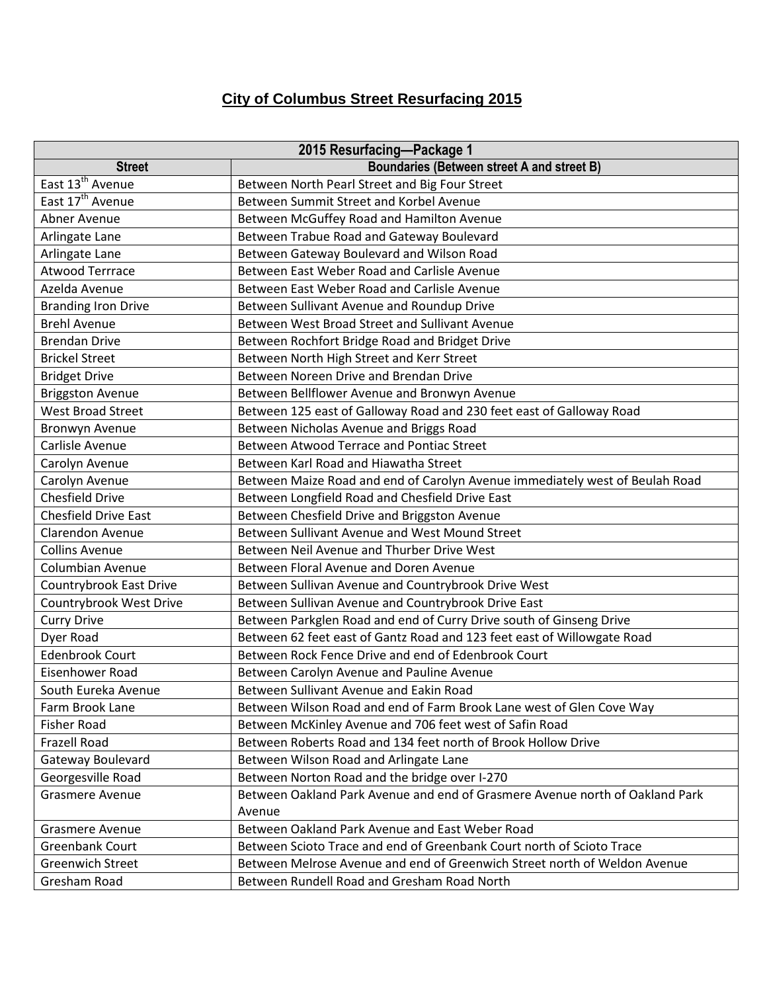## **City of Columbus Street Resurfacing 2015**

| 2015 Resurfacing-Package 1   |                                                                              |
|------------------------------|------------------------------------------------------------------------------|
| <b>Street</b>                | <b>Boundaries (Between street A and street B)</b>                            |
| East 13 <sup>th</sup> Avenue | Between North Pearl Street and Big Four Street                               |
| East 17 <sup>th</sup> Avenue | Between Summit Street and Korbel Avenue                                      |
| Abner Avenue                 | Between McGuffey Road and Hamilton Avenue                                    |
| Arlingate Lane               | Between Trabue Road and Gateway Boulevard                                    |
| Arlingate Lane               | Between Gateway Boulevard and Wilson Road                                    |
| <b>Atwood Terrrace</b>       | Between East Weber Road and Carlisle Avenue                                  |
| Azelda Avenue                | Between East Weber Road and Carlisle Avenue                                  |
| <b>Branding Iron Drive</b>   | Between Sullivant Avenue and Roundup Drive                                   |
| <b>Brehl Avenue</b>          | Between West Broad Street and Sullivant Avenue                               |
| <b>Brendan Drive</b>         | Between Rochfort Bridge Road and Bridget Drive                               |
| <b>Brickel Street</b>        | Between North High Street and Kerr Street                                    |
| <b>Bridget Drive</b>         | Between Noreen Drive and Brendan Drive                                       |
| <b>Briggston Avenue</b>      | Between Bellflower Avenue and Bronwyn Avenue                                 |
| <b>West Broad Street</b>     | Between 125 east of Galloway Road and 230 feet east of Galloway Road         |
| <b>Bronwyn Avenue</b>        | Between Nicholas Avenue and Briggs Road                                      |
| Carlisle Avenue              | Between Atwood Terrace and Pontiac Street                                    |
| Carolyn Avenue               | Between Karl Road and Hiawatha Street                                        |
| Carolyn Avenue               | Between Maize Road and end of Carolyn Avenue immediately west of Beulah Road |
| <b>Chesfield Drive</b>       | Between Longfield Road and Chesfield Drive East                              |
| <b>Chesfield Drive East</b>  | Between Chesfield Drive and Briggston Avenue                                 |
| <b>Clarendon Avenue</b>      | Between Sullivant Avenue and West Mound Street                               |
| <b>Collins Avenue</b>        | Between Neil Avenue and Thurber Drive West                                   |
| <b>Columbian Avenue</b>      | Between Floral Avenue and Doren Avenue                                       |
| Countrybrook East Drive      | Between Sullivan Avenue and Countrybrook Drive West                          |
| Countrybrook West Drive      | Between Sullivan Avenue and Countrybrook Drive East                          |
| <b>Curry Drive</b>           | Between Parkglen Road and end of Curry Drive south of Ginseng Drive          |
| Dyer Road                    | Between 62 feet east of Gantz Road and 123 feet east of Willowgate Road      |
| <b>Edenbrook Court</b>       | Between Rock Fence Drive and end of Edenbrook Court                          |
| Eisenhower Road              | Between Carolyn Avenue and Pauline Avenue                                    |
| South Eureka Avenue          | Between Sullivant Avenue and Eakin Road                                      |
| Farm Brook Lane              | Between Wilson Road and end of Farm Brook Lane west of Glen Cove Way         |
| <b>Fisher Road</b>           | Between McKinley Avenue and 706 feet west of Safin Road                      |
| Frazell Road                 | Between Roberts Road and 134 feet north of Brook Hollow Drive                |
| Gateway Boulevard            | Between Wilson Road and Arlingate Lane                                       |
| Georgesville Road            | Between Norton Road and the bridge over I-270                                |
| <b>Grasmere Avenue</b>       | Between Oakland Park Avenue and end of Grasmere Avenue north of Oakland Park |
|                              | Avenue                                                                       |
| <b>Grasmere Avenue</b>       | Between Oakland Park Avenue and East Weber Road                              |
| Greenbank Court              | Between Scioto Trace and end of Greenbank Court north of Scioto Trace        |
| <b>Greenwich Street</b>      | Between Melrose Avenue and end of Greenwich Street north of Weldon Avenue    |
| Gresham Road                 | Between Rundell Road and Gresham Road North                                  |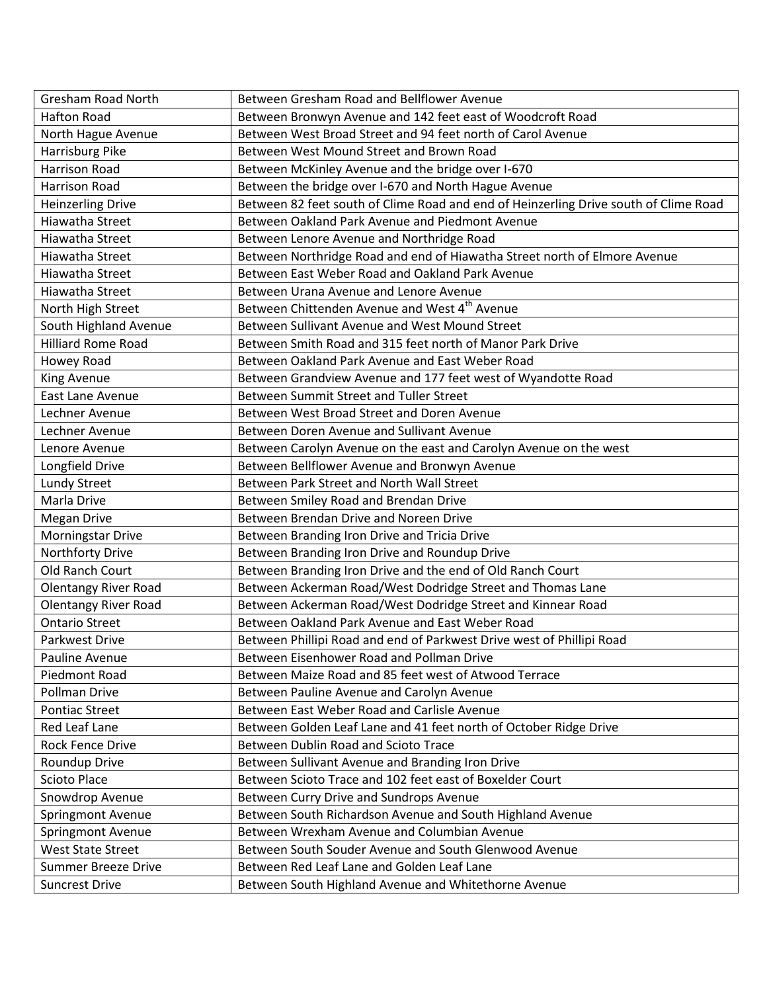| <b>Gresham Road North</b>   | Between Gresham Road and Bellflower Avenue                                           |
|-----------------------------|--------------------------------------------------------------------------------------|
| <b>Hafton Road</b>          | Between Bronwyn Avenue and 142 feet east of Woodcroft Road                           |
| North Hague Avenue          | Between West Broad Street and 94 feet north of Carol Avenue                          |
| Harrisburg Pike             | Between West Mound Street and Brown Road                                             |
| <b>Harrison Road</b>        | Between McKinley Avenue and the bridge over I-670                                    |
| <b>Harrison Road</b>        | Between the bridge over I-670 and North Hague Avenue                                 |
| <b>Heinzerling Drive</b>    | Between 82 feet south of Clime Road and end of Heinzerling Drive south of Clime Road |
| Hiawatha Street             | Between Oakland Park Avenue and Piedmont Avenue                                      |
| Hiawatha Street             | Between Lenore Avenue and Northridge Road                                            |
| Hiawatha Street             | Between Northridge Road and end of Hiawatha Street north of Elmore Avenue            |
| Hiawatha Street             | Between East Weber Road and Oakland Park Avenue                                      |
| Hiawatha Street             | Between Urana Avenue and Lenore Avenue                                               |
| North High Street           | Between Chittenden Avenue and West 4 <sup>th</sup> Avenue                            |
| South Highland Avenue       | Between Sullivant Avenue and West Mound Street                                       |
| <b>Hilliard Rome Road</b>   | Between Smith Road and 315 feet north of Manor Park Drive                            |
| Howey Road                  | Between Oakland Park Avenue and East Weber Road                                      |
| King Avenue                 | Between Grandview Avenue and 177 feet west of Wyandotte Road                         |
| East Lane Avenue            | Between Summit Street and Tuller Street                                              |
| Lechner Avenue              | Between West Broad Street and Doren Avenue                                           |
| Lechner Avenue              | Between Doren Avenue and Sullivant Avenue                                            |
| Lenore Avenue               | Between Carolyn Avenue on the east and Carolyn Avenue on the west                    |
| Longfield Drive             | Between Bellflower Avenue and Bronwyn Avenue                                         |
| Lundy Street                | Between Park Street and North Wall Street                                            |
| Marla Drive                 | Between Smiley Road and Brendan Drive                                                |
| <b>Megan Drive</b>          | Between Brendan Drive and Noreen Drive                                               |
| Morningstar Drive           | Between Branding Iron Drive and Tricia Drive                                         |
| Northforty Drive            | Between Branding Iron Drive and Roundup Drive                                        |
| Old Ranch Court             | Between Branding Iron Drive and the end of Old Ranch Court                           |
| <b>Olentangy River Road</b> | Between Ackerman Road/West Dodridge Street and Thomas Lane                           |
| <b>Olentangy River Road</b> | Between Ackerman Road/West Dodridge Street and Kinnear Road                          |
| <b>Ontario Street</b>       | Between Oakland Park Avenue and East Weber Road                                      |
| Parkwest Drive              | Between Phillipi Road and end of Parkwest Drive west of Phillipi Road                |
| Pauline Avenue              | Between Eisenhower Road and Pollman Drive                                            |
| Piedmont Road               | Between Maize Road and 85 feet west of Atwood Terrace                                |
| <b>Pollman Drive</b>        | Between Pauline Avenue and Carolyn Avenue                                            |
| <b>Pontiac Street</b>       | Between East Weber Road and Carlisle Avenue                                          |
| Red Leaf Lane               | Between Golden Leaf Lane and 41 feet north of October Ridge Drive                    |
| <b>Rock Fence Drive</b>     | Between Dublin Road and Scioto Trace                                                 |
| Roundup Drive               | Between Sullivant Avenue and Branding Iron Drive                                     |
| <b>Scioto Place</b>         | Between Scioto Trace and 102 feet east of Boxelder Court                             |
| Snowdrop Avenue             | Between Curry Drive and Sundrops Avenue                                              |
| Springmont Avenue           | Between South Richardson Avenue and South Highland Avenue                            |
| Springmont Avenue           | Between Wrexham Avenue and Columbian Avenue                                          |
| <b>West State Street</b>    | Between South Souder Avenue and South Glenwood Avenue                                |
| <b>Summer Breeze Drive</b>  | Between Red Leaf Lane and Golden Leaf Lane                                           |
| <b>Suncrest Drive</b>       | Between South Highland Avenue and Whitethorne Avenue                                 |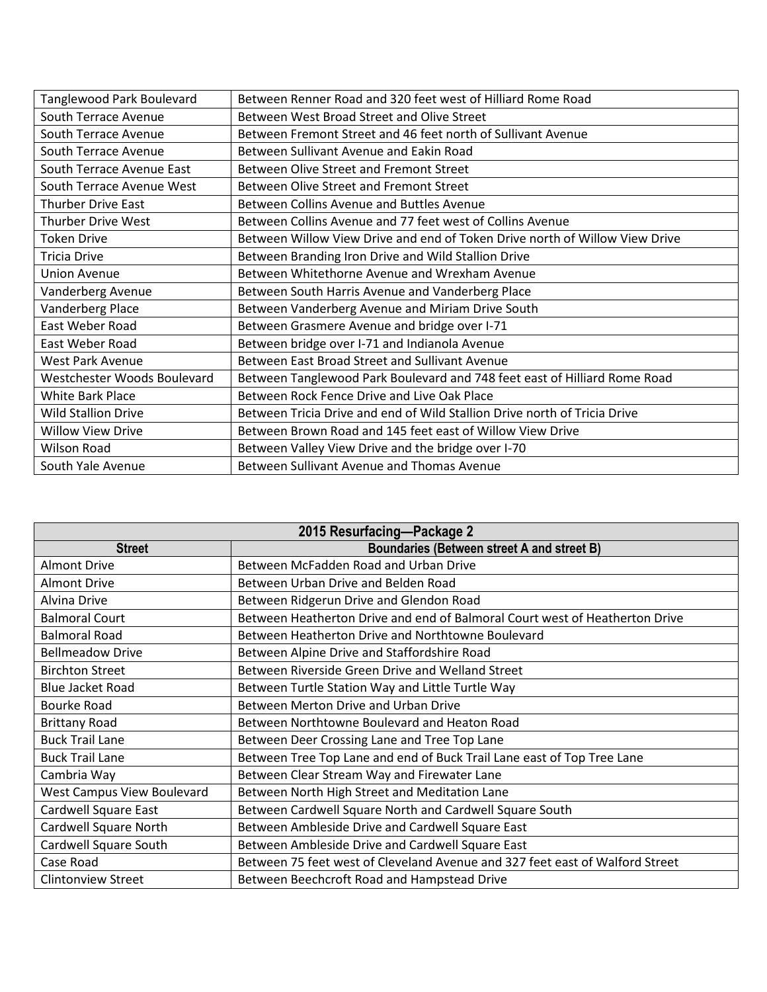| Tanglewood Park Boulevard   | Between Renner Road and 320 feet west of Hilliard Rome Road                 |
|-----------------------------|-----------------------------------------------------------------------------|
| <b>South Terrace Avenue</b> | Between West Broad Street and Olive Street                                  |
| South Terrace Avenue        | Between Fremont Street and 46 feet north of Sullivant Avenue                |
| South Terrace Avenue        | Between Sullivant Avenue and Eakin Road                                     |
| South Terrace Avenue East   | Between Olive Street and Fremont Street                                     |
| South Terrace Avenue West   | Between Olive Street and Fremont Street                                     |
| <b>Thurber Drive East</b>   | Between Collins Avenue and Buttles Avenue                                   |
| <b>Thurber Drive West</b>   | Between Collins Avenue and 77 feet west of Collins Avenue                   |
| <b>Token Drive</b>          | Between Willow View Drive and end of Token Drive north of Willow View Drive |
| <b>Tricia Drive</b>         | Between Branding Iron Drive and Wild Stallion Drive                         |
| <b>Union Avenue</b>         | Between Whitethorne Avenue and Wrexham Avenue                               |
| Vanderberg Avenue           | Between South Harris Avenue and Vanderberg Place                            |
| Vanderberg Place            | Between Vanderberg Avenue and Miriam Drive South                            |
| East Weber Road             | Between Grasmere Avenue and bridge over I-71                                |
| East Weber Road             | Between bridge over I-71 and Indianola Avenue                               |
| West Park Avenue            | Between East Broad Street and Sullivant Avenue                              |
| Westchester Woods Boulevard | Between Tanglewood Park Boulevard and 748 feet east of Hilliard Rome Road   |
| <b>White Bark Place</b>     | Between Rock Fence Drive and Live Oak Place                                 |
| <b>Wild Stallion Drive</b>  | Between Tricia Drive and end of Wild Stallion Drive north of Tricia Drive   |
| <b>Willow View Drive</b>    | Between Brown Road and 145 feet east of Willow View Drive                   |
| <b>Wilson Road</b>          | Between Valley View Drive and the bridge over I-70                          |
| South Yale Avenue           | Between Sullivant Avenue and Thomas Avenue                                  |

| 2015 Resurfacing-Package 2 |                                                                              |
|----------------------------|------------------------------------------------------------------------------|
| <b>Street</b>              | Boundaries (Between street A and street B)                                   |
| <b>Almont Drive</b>        | Between McFadden Road and Urban Drive                                        |
| <b>Almont Drive</b>        | Between Urban Drive and Belden Road                                          |
| Alvina Drive               | Between Ridgerun Drive and Glendon Road                                      |
| <b>Balmoral Court</b>      | Between Heatherton Drive and end of Balmoral Court west of Heatherton Drive  |
| <b>Balmoral Road</b>       | Between Heatherton Drive and Northtowne Boulevard                            |
| <b>Bellmeadow Drive</b>    | Between Alpine Drive and Staffordshire Road                                  |
| <b>Birchton Street</b>     | Between Riverside Green Drive and Welland Street                             |
| <b>Blue Jacket Road</b>    | Between Turtle Station Way and Little Turtle Way                             |
| Bourke Road                | Between Merton Drive and Urban Drive                                         |
| <b>Brittany Road</b>       | Between Northtowne Boulevard and Heaton Road                                 |
| <b>Buck Trail Lane</b>     | Between Deer Crossing Lane and Tree Top Lane                                 |
| <b>Buck Trail Lane</b>     | Between Tree Top Lane and end of Buck Trail Lane east of Top Tree Lane       |
| Cambria Way                | Between Clear Stream Way and Firewater Lane                                  |
| West Campus View Boulevard | Between North High Street and Meditation Lane                                |
| Cardwell Square East       | Between Cardwell Square North and Cardwell Square South                      |
| Cardwell Square North      | Between Ambleside Drive and Cardwell Square East                             |
| Cardwell Square South      | Between Ambleside Drive and Cardwell Square East                             |
| Case Road                  | Between 75 feet west of Cleveland Avenue and 327 feet east of Walford Street |
| <b>Clintonview Street</b>  | Between Beechcroft Road and Hampstead Drive                                  |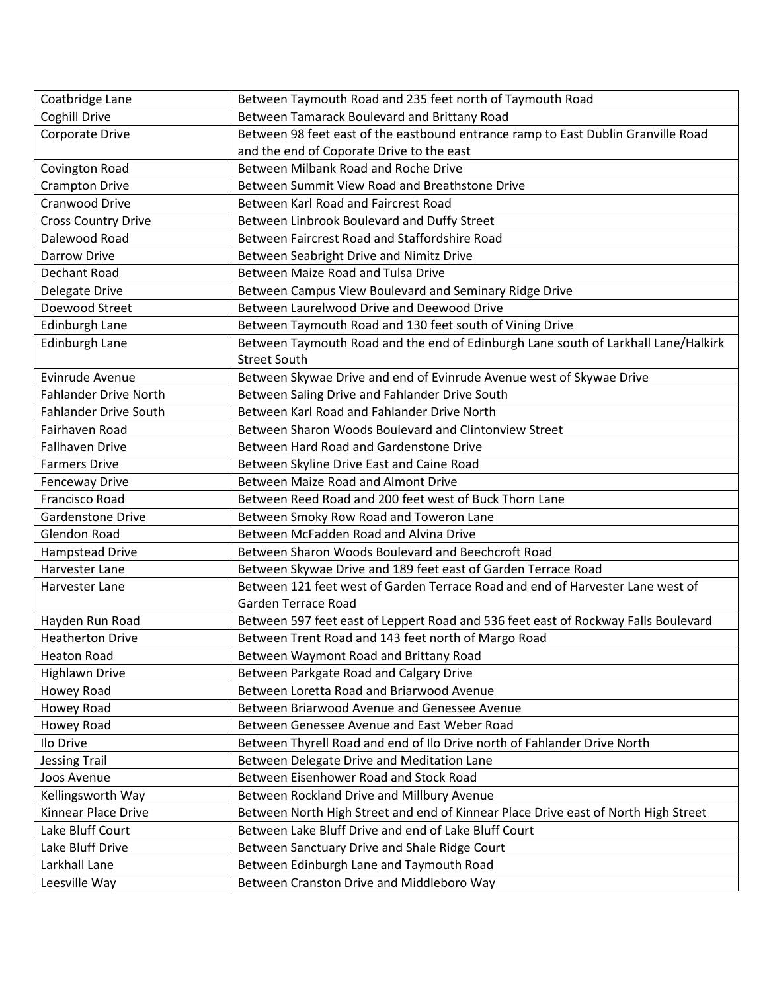| Coatbridge Lane              | Between Taymouth Road and 235 feet north of Taymouth Road                          |
|------------------------------|------------------------------------------------------------------------------------|
| Coghill Drive                | Between Tamarack Boulevard and Brittany Road                                       |
| <b>Corporate Drive</b>       | Between 98 feet east of the eastbound entrance ramp to East Dublin Granville Road  |
|                              | and the end of Coporate Drive to the east                                          |
| Covington Road               | Between Milbank Road and Roche Drive                                               |
| <b>Crampton Drive</b>        | Between Summit View Road and Breathstone Drive                                     |
| Cranwood Drive               | Between Karl Road and Faircrest Road                                               |
| <b>Cross Country Drive</b>   | Between Linbrook Boulevard and Duffy Street                                        |
| Dalewood Road                | Between Faircrest Road and Staffordshire Road                                      |
| <b>Darrow Drive</b>          | Between Seabright Drive and Nimitz Drive                                           |
| Dechant Road                 | Between Maize Road and Tulsa Drive                                                 |
| Delegate Drive               | Between Campus View Boulevard and Seminary Ridge Drive                             |
| Doewood Street               | Between Laurelwood Drive and Deewood Drive                                         |
| Edinburgh Lane               | Between Taymouth Road and 130 feet south of Vining Drive                           |
| <b>Edinburgh Lane</b>        | Between Taymouth Road and the end of Edinburgh Lane south of Larkhall Lane/Halkirk |
|                              | <b>Street South</b>                                                                |
| Evinrude Avenue              | Between Skywae Drive and end of Evinrude Avenue west of Skywae Drive               |
| <b>Fahlander Drive North</b> | Between Saling Drive and Fahlander Drive South                                     |
| <b>Fahlander Drive South</b> | Between Karl Road and Fahlander Drive North                                        |
| Fairhaven Road               | Between Sharon Woods Boulevard and Clintonview Street                              |
| <b>Fallhaven Drive</b>       | Between Hard Road and Gardenstone Drive                                            |
| <b>Farmers Drive</b>         | Between Skyline Drive East and Caine Road                                          |
| Fenceway Drive               | Between Maize Road and Almont Drive                                                |
| Francisco Road               | Between Reed Road and 200 feet west of Buck Thorn Lane                             |
| <b>Gardenstone Drive</b>     | Between Smoky Row Road and Toweron Lane                                            |
| <b>Glendon Road</b>          | Between McFadden Road and Alvina Drive                                             |
| Hampstead Drive              | Between Sharon Woods Boulevard and Beechcroft Road                                 |
| Harvester Lane               | Between Skywae Drive and 189 feet east of Garden Terrace Road                      |
| Harvester Lane               | Between 121 feet west of Garden Terrace Road and end of Harvester Lane west of     |
|                              | Garden Terrace Road                                                                |
| Hayden Run Road              | Between 597 feet east of Leppert Road and 536 feet east of Rockway Falls Boulevard |
| <b>Heatherton Drive</b>      | Between Trent Road and 143 feet north of Margo Road                                |
| Heaton Road                  | Between Waymont Road and Brittany Road                                             |
| <b>Highlawn Drive</b>        | Between Parkgate Road and Calgary Drive                                            |
| Howey Road                   | Between Loretta Road and Briarwood Avenue                                          |
| Howey Road                   | Between Briarwood Avenue and Genessee Avenue                                       |
| Howey Road                   | Between Genessee Avenue and East Weber Road                                        |
| Ilo Drive                    | Between Thyrell Road and end of Ilo Drive north of Fahlander Drive North           |
| <b>Jessing Trail</b>         | Between Delegate Drive and Meditation Lane                                         |
| Joos Avenue                  | Between Eisenhower Road and Stock Road                                             |
| Kellingsworth Way            | Between Rockland Drive and Millbury Avenue                                         |
| Kinnear Place Drive          | Between North High Street and end of Kinnear Place Drive east of North High Street |
| Lake Bluff Court             | Between Lake Bluff Drive and end of Lake Bluff Court                               |
| Lake Bluff Drive             | Between Sanctuary Drive and Shale Ridge Court                                      |
| Larkhall Lane                | Between Edinburgh Lane and Taymouth Road                                           |
| Leesville Way                | Between Cranston Drive and Middleboro Way                                          |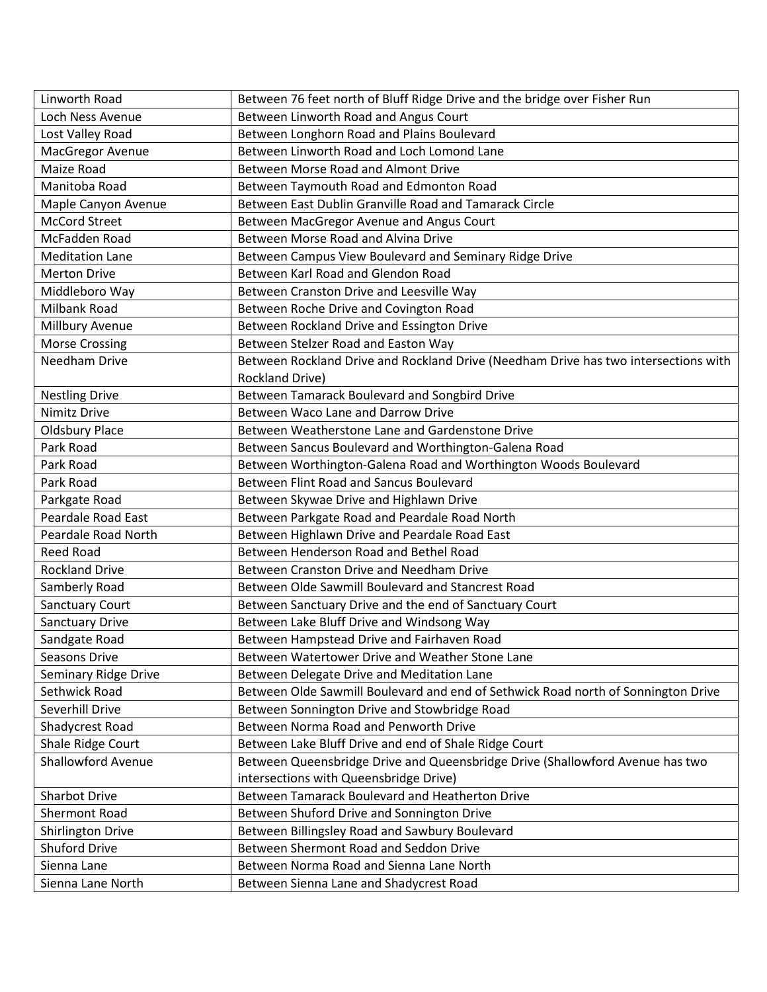| Linworth Road             | Between 76 feet north of Bluff Ridge Drive and the bridge over Fisher Run           |
|---------------------------|-------------------------------------------------------------------------------------|
| Loch Ness Avenue          | Between Linworth Road and Angus Court                                               |
| Lost Valley Road          | Between Longhorn Road and Plains Boulevard                                          |
| MacGregor Avenue          | Between Linworth Road and Loch Lomond Lane                                          |
| Maize Road                | Between Morse Road and Almont Drive                                                 |
| Manitoba Road             | Between Taymouth Road and Edmonton Road                                             |
| Maple Canyon Avenue       | Between East Dublin Granville Road and Tamarack Circle                              |
| <b>McCord Street</b>      | Between MacGregor Avenue and Angus Court                                            |
| McFadden Road             | Between Morse Road and Alvina Drive                                                 |
| <b>Meditation Lane</b>    | Between Campus View Boulevard and Seminary Ridge Drive                              |
| <b>Merton Drive</b>       | Between Karl Road and Glendon Road                                                  |
| Middleboro Way            | Between Cranston Drive and Leesville Way                                            |
| Milbank Road              | Between Roche Drive and Covington Road                                              |
| Millbury Avenue           | Between Rockland Drive and Essington Drive                                          |
| <b>Morse Crossing</b>     | Between Stelzer Road and Easton Way                                                 |
| <b>Needham Drive</b>      | Between Rockland Drive and Rockland Drive (Needham Drive has two intersections with |
|                           | Rockland Drive)                                                                     |
| <b>Nestling Drive</b>     | Between Tamarack Boulevard and Songbird Drive                                       |
| Nimitz Drive              | Between Waco Lane and Darrow Drive                                                  |
| <b>Oldsbury Place</b>     | Between Weatherstone Lane and Gardenstone Drive                                     |
| Park Road                 | Between Sancus Boulevard and Worthington-Galena Road                                |
| Park Road                 | Between Worthington-Galena Road and Worthington Woods Boulevard                     |
| Park Road                 | Between Flint Road and Sancus Boulevard                                             |
| Parkgate Road             | Between Skywae Drive and Highlawn Drive                                             |
| <b>Peardale Road East</b> | Between Parkgate Road and Peardale Road North                                       |
| Peardale Road North       | Between Highlawn Drive and Peardale Road East                                       |
| <b>Reed Road</b>          | Between Henderson Road and Bethel Road                                              |
| <b>Rockland Drive</b>     | Between Cranston Drive and Needham Drive                                            |
| Samberly Road             | Between Olde Sawmill Boulevard and Stancrest Road                                   |
| <b>Sanctuary Court</b>    | Between Sanctuary Drive and the end of Sanctuary Court                              |
| <b>Sanctuary Drive</b>    | Between Lake Bluff Drive and Windsong Way                                           |
| Sandgate Road             | Between Hampstead Drive and Fairhaven Road                                          |
| Seasons Drive             | Between Watertower Drive and Weather Stone Lane                                     |
| Seminary Ridge Drive      | Between Delegate Drive and Meditation Lane                                          |
| Sethwick Road             | Between Olde Sawmill Boulevard and end of Sethwick Road north of Sonnington Drive   |
| Severhill Drive           | Between Sonnington Drive and Stowbridge Road                                        |
| Shadycrest Road           | Between Norma Road and Penworth Drive                                               |
| Shale Ridge Court         | Between Lake Bluff Drive and end of Shale Ridge Court                               |
| <b>Shallowford Avenue</b> | Between Queensbridge Drive and Queensbridge Drive (Shallowford Avenue has two       |
|                           | intersections with Queensbridge Drive)                                              |
| Sharbot Drive             | Between Tamarack Boulevard and Heatherton Drive                                     |
| Shermont Road             | Between Shuford Drive and Sonnington Drive                                          |
| <b>Shirlington Drive</b>  | Between Billingsley Road and Sawbury Boulevard                                      |
| <b>Shuford Drive</b>      | Between Shermont Road and Seddon Drive                                              |
| Sienna Lane               | Between Norma Road and Sienna Lane North                                            |
| Sienna Lane North         | Between Sienna Lane and Shadycrest Road                                             |
|                           |                                                                                     |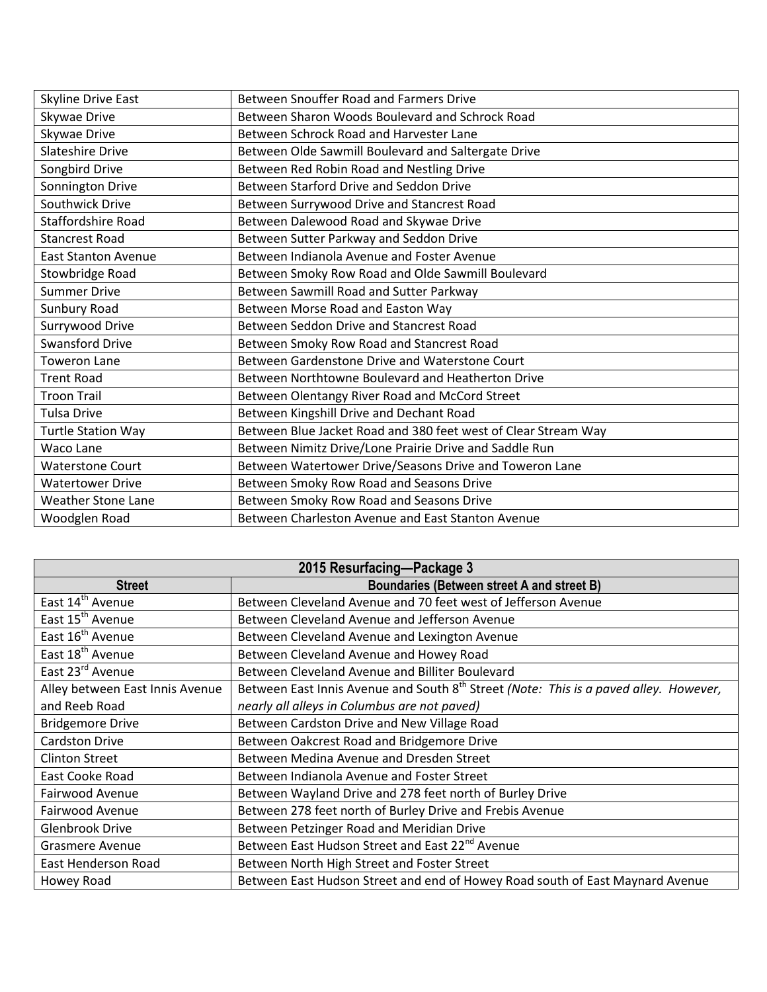| <b>Skyline Drive East</b>  | Between Snouffer Road and Farmers Drive                        |
|----------------------------|----------------------------------------------------------------|
| Skywae Drive               | Between Sharon Woods Boulevard and Schrock Road                |
| Skywae Drive               | Between Schrock Road and Harvester Lane                        |
| <b>Slateshire Drive</b>    | Between Olde Sawmill Boulevard and Saltergate Drive            |
| Songbird Drive             | Between Red Robin Road and Nestling Drive                      |
| Sonnington Drive           | Between Starford Drive and Seddon Drive                        |
| Southwick Drive            | Between Surrywood Drive and Stancrest Road                     |
| Staffordshire Road         | Between Dalewood Road and Skywae Drive                         |
| <b>Stancrest Road</b>      | Between Sutter Parkway and Seddon Drive                        |
| <b>East Stanton Avenue</b> | Between Indianola Avenue and Foster Avenue                     |
| Stowbridge Road            | Between Smoky Row Road and Olde Sawmill Boulevard              |
| <b>Summer Drive</b>        | Between Sawmill Road and Sutter Parkway                        |
| Sunbury Road               | Between Morse Road and Easton Way                              |
| Surrywood Drive            | Between Seddon Drive and Stancrest Road                        |
| <b>Swansford Drive</b>     | Between Smoky Row Road and Stancrest Road                      |
| <b>Toweron Lane</b>        | Between Gardenstone Drive and Waterstone Court                 |
| <b>Trent Road</b>          | Between Northtowne Boulevard and Heatherton Drive              |
| <b>Troon Trail</b>         | Between Olentangy River Road and McCord Street                 |
| Tulsa Drive                | Between Kingshill Drive and Dechant Road                       |
| <b>Turtle Station Way</b>  | Between Blue Jacket Road and 380 feet west of Clear Stream Way |
| <b>Waco Lane</b>           | Between Nimitz Drive/Lone Prairie Drive and Saddle Run         |
| <b>Waterstone Court</b>    | Between Watertower Drive/Seasons Drive and Toweron Lane        |
| <b>Watertower Drive</b>    | Between Smoky Row Road and Seasons Drive                       |
| <b>Weather Stone Lane</b>  | Between Smoky Row Road and Seasons Drive                       |
| Woodglen Road              | Between Charleston Avenue and East Stanton Avenue              |

| 2015 Resurfacing-Package 3      |                                                                                                   |
|---------------------------------|---------------------------------------------------------------------------------------------------|
| <b>Street</b>                   | <b>Boundaries (Between street A and street B)</b>                                                 |
| East 14 <sup>th</sup> Avenue    | Between Cleveland Avenue and 70 feet west of Jefferson Avenue                                     |
| East 15 <sup>th</sup> Avenue    | Between Cleveland Avenue and Jefferson Avenue                                                     |
| East 16 <sup>th</sup> Avenue    | Between Cleveland Avenue and Lexington Avenue                                                     |
| East 18 <sup>th</sup> Avenue    | Between Cleveland Avenue and Howey Road                                                           |
| East 23rd Avenue                | Between Cleveland Avenue and Billiter Boulevard                                                   |
| Alley between East Innis Avenue | Between East Innis Avenue and South 8 <sup>th</sup> Street (Note: This is a paved alley. However, |
| and Reeb Road                   | nearly all alleys in Columbus are not paved)                                                      |
| <b>Bridgemore Drive</b>         | Between Cardston Drive and New Village Road                                                       |
| <b>Cardston Drive</b>           | Between Oakcrest Road and Bridgemore Drive                                                        |
| <b>Clinton Street</b>           | Between Medina Avenue and Dresden Street                                                          |
| East Cooke Road                 | Between Indianola Avenue and Foster Street                                                        |
| Fairwood Avenue                 | Between Wayland Drive and 278 feet north of Burley Drive                                          |
| Fairwood Avenue                 | Between 278 feet north of Burley Drive and Frebis Avenue                                          |
| Glenbrook Drive                 | Between Petzinger Road and Meridian Drive                                                         |
| <b>Grasmere Avenue</b>          | Between East Hudson Street and East 22 <sup>nd</sup> Avenue                                       |
| East Henderson Road             | Between North High Street and Foster Street                                                       |
| Howey Road                      | Between East Hudson Street and end of Howey Road south of East Maynard Avenue                     |